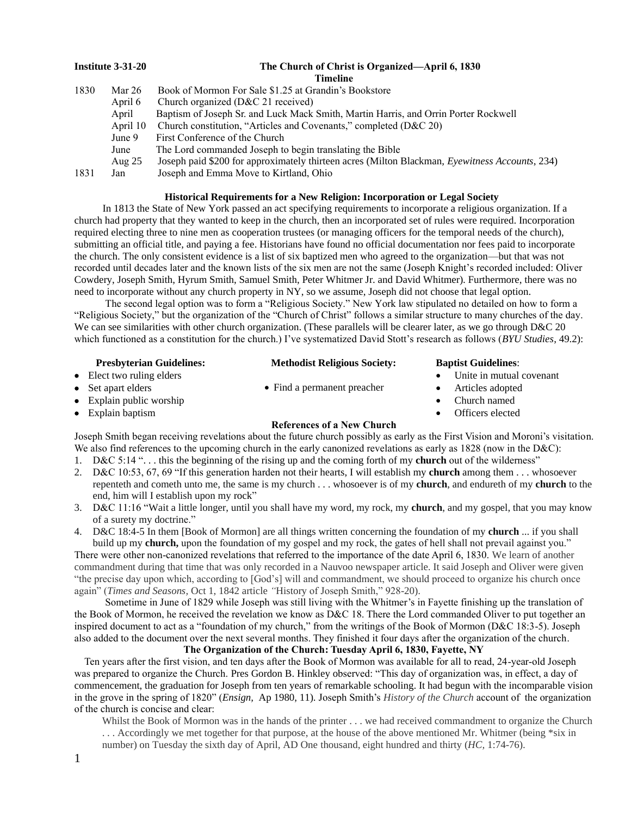| Institute 3-31-20 |          | The Church of Christ is Organized—April 6, 1830                                                |  |  |  |
|-------------------|----------|------------------------------------------------------------------------------------------------|--|--|--|
|                   |          | Timeline                                                                                       |  |  |  |
| 1830              | Mar 26   | Book of Mormon For Sale \$1.25 at Grandin's Bookstore                                          |  |  |  |
|                   | April 6  | Church organized (D&C 21 received)                                                             |  |  |  |
|                   | April    | Baptism of Joseph Sr. and Luck Mack Smith, Martin Harris, and Orrin Porter Rockwell            |  |  |  |
|                   | April 10 | Church constitution, "Articles and Covenants," completed (D&C 20)                              |  |  |  |
|                   | June 9   | First Conference of the Church                                                                 |  |  |  |
|                   | June     | The Lord commanded Joseph to begin translating the Bible                                       |  |  |  |
|                   | Aug $25$ | Joseph paid \$200 for approximately thirteen acres (Milton Blackman, Eyewitness Accounts, 234) |  |  |  |
| 1831              | Jan      | Joseph and Emma Move to Kirtland, Ohio                                                         |  |  |  |

# **Historical Requirements for a New Religion: Incorporation or Legal Society**

 In 1813 the State of New York passed an act specifying requirements to incorporate a religious organization. If a church had property that they wanted to keep in the church, then an incorporated set of rules were required. Incorporation required electing three to nine men as cooperation trustees (or managing officers for the temporal needs of the church), submitting an official title, and paying a fee. Historians have found no official documentation nor fees paid to incorporate the church. The only consistent evidence is a list of six baptized men who agreed to the organization—but that was not recorded until decades later and the known lists of the six men are not the same (Joseph Knight's recorded included: Oliver Cowdery, Joseph Smith, Hyrum Smith, Samuel Smith, Peter Whitmer Jr. and David Whitmer). Furthermore, there was no need to incorporate without any church property in NY, so we assume, Joseph did not choose that legal option.

 The second legal option was to form a "Religious Society." New York law stipulated no detailed on how to form a "Religious Society," but the organization of the "Church of Christ" follows a similar structure to many churches of the day. We can see similarities with other church organization. (These parallels will be clearer later, as we go through D&C 20 which functioned as a constitution for the church.) I've systematized David Stott's research as follows (*BYU Studies*, 49.2):

| <b>Presbyterian Guidelines:</b> |                                   | <b>Methodist Religious Society:</b> |  | <b>Baptist Guidelines:</b> |  |
|---------------------------------|-----------------------------------|-------------------------------------|--|----------------------------|--|
|                                 | $\bullet$ Elect two ruling elders |                                     |  | • Unite in mutual covenant |  |
|                                 | • Set apart elders                | • Find a permanent preacher         |  | Articles adopted           |  |

- Set apart elders
- Explain public worship
- Explain baptism

## **References of a New Church**

• Church named Officers elected

Joseph Smith began receiving revelations about the future church possibly as early as the First Vision and Moroni's visitation. We also find references to the upcoming church in the early canonized revelations as early as 1828 (now in the D&C):

- 1. D&C 5:14 ". . . this the beginning of the rising up and the coming forth of my **church** out of the wilderness"
- 2. D&C 10:53, 67, 69 "If this generation harden not their hearts, I will establish my **church** among them . . . whosoever repenteth and cometh unto me, the same is my church . . . whosoever is of my **church**, and endureth of my **church** to the end, him will I establish upon my rock"
- 3. D&C 11:16 "Wait a little longer, until you shall have my word, my rock, my **church**, and my gospel, that you may know of a surety my doctrine."
- 4. D&C 18:4-5 In them [Book of Mormon] are all things written concerning the foundation of my **church** ... if you shall build up my **church**, upon the foundation of my gospel and my rock, the gates of hell shall not prevail against you."

There were other non-canonized revelations that referred to the importance of the date April 6, 1830. We learn of another commandment during that time that was only recorded in a Nauvoo newspaper article. It said Joseph and Oliver were given "the precise day upon which, according to [God's] will and commandment, we should proceed to organize his church once again" (*Times and Seasons,* Oct 1, 1842 article *"*History of Joseph Smith," 928-20).

 Sometime in June of 1829 while Joseph was still living with the Whitmer's in Fayette finishing up the translation of the Book of Mormon, he received the revelation we know as D&C 18. There the Lord commanded Oliver to put together an inspired document to act as a "foundation of my church," from the writings of the Book of Mormon (D&C 18:3-5). Joseph also added to the document over the next several months. They finished it four days after the organization of the church.

**The Organization of the Church: Tuesday April 6, 1830, Fayette, NY**

 Ten years after the first vision, and ten days after the Book of Mormon was available for all to read, 24-year-old Joseph was prepared to organize the Church. Pres Gordon B. Hinkley observed: "This day of organization was, in effect, a day of commencement, the graduation for Joseph from ten years of remarkable schooling. It had begun with the incomparable vision in the grove in the spring of 1820" (*Ensign,* Ap 1980, 11). Joseph Smith's *History of the Church* account of the organization of the church is concise and clear:

Whilst the Book of Mormon was in the hands of the printer . . . we had received commandment to organize the Church . . . Accordingly we met together for that purpose, at the house of the above mentioned Mr. Whitmer (being \*six in number) on Tuesday the sixth day of April, AD One thousand, eight hundred and thirty (*HC,* 1:74-76).

- 1
-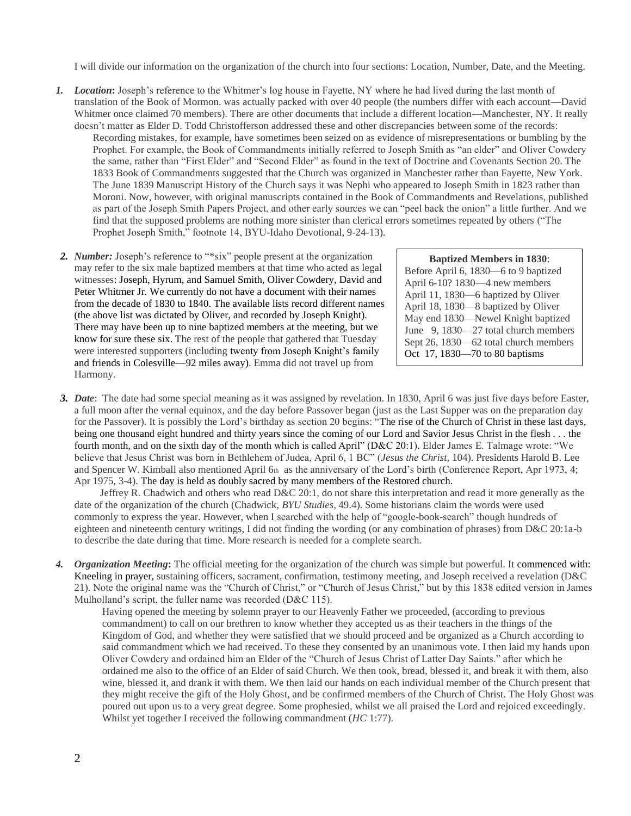I will divide our information on the organization of the church into four sections: Location, Number, Date, and the Meeting.

- *1. Location***:** Joseph's reference to the Whitmer's log house in Fayette, NY where he had lived during the last month of translation of the Book of Mormon. was actually packed with over 40 people (the numbers differ with each account—David Whitmer once claimed 70 members). There are other documents that include a different location—Manchester, NY. It really doesn't matter as Elder D. Todd Christofferson addressed these and other discrepancies between some of the records: Recording mistakes, for example, have sometimes been seized on as evidence of misrepresentations or bumbling by the Prophet. For example, the Book of Commandments initially referred to Joseph Smith as "an elder" and Oliver Cowdery the same, rather than "First Elder" and "Second Elder" as found in the text of Doctrine and Covenants Section 20. The 1833 Book of Commandments suggested that the Church was organized in Manchester rather than Fayette, New York. The June 1839 Manuscript History of the Church says it was Nephi who appeared to Joseph Smith in 1823 rather than Moroni. Now, however, with original manuscripts contained in the Book of Commandments and Revelations, published as part of the Joseph Smith Papers Project, and other early sources we can "peel back the onion" a little further. And we find that the supposed problems are nothing more sinister than clerical errors sometimes repeated by others ("The Prophet Joseph Smith," footnote 14, BYU-Idaho Devotional, 9-24-13).
- *2. Number:* Joseph's reference to "\*six" people present at the organization may refer to the six male baptized members at that time who acted as legal witnesses: Joseph, Hyrum, and Samuel Smith, Oliver Cowdery, David and Peter Whitmer Jr. We currently do not have a document with their names from the decade of 1830 to 1840. The available lists record different names (the above list was dictated by Oliver, and recorded by Joseph Knight). There may have been up to nine baptized members at the meeting, but we know for sure these six. The rest of the people that gathered that Tuesday were interested supporters (including twenty from Joseph Knight's family and friends in Colesville—92 miles away). Emma did not travel up from Harmony.

**Baptized Members in 1830**:

Before April 6, 1830—6 to 9 baptized April 6-10? 1830—4 new members April 11, 1830—6 baptized by Oliver April 18, 1830—8 baptized by Oliver May end 1830—Newel Knight baptized June 9, 1830—27 total church members Sept 26, 1830—62 total church members Oct 17, 1830—70 to 80 baptisms

*3. Date*: The date had some special meaning as it was assigned by revelation. In 1830, April 6 was just five days before Easter, a full moon after the vernal equinox, and the day before Passover began (just as the Last Supper was on the preparation day for the Passover). It is possibly the Lord's birthday as section 20 begins: "The rise of the Church of Christ in these last days, being one thousand eight hundred and thirty years since the coming of our Lord and Savior Jesus Christ in the flesh . . . the fourth month, and on the sixth day of the month which is called April" (D&C 20:1). Elder James E. Talmage wrote: "We believe that Jesus Christ was born in Bethlehem of Judea, April 6, 1 BC" (*Jesus the Christ,* 104). Presidents Harold B. Lee and Spencer W. Kimball also mentioned April 6th as the anniversary of the Lord's birth (Conference Report, Apr 1973, 4; Apr 1975, 3-4). The day is held as doubly sacred by many members of the Restored church.

Jeffrey R. Chadwich and others who read D&C 20:1, do not share this interpretation and read it more generally as the date of the organization of the church (Chadwick, *BYU Studies,* 49.4). Some historians claim the words were used commonly to express the year. However, when I searched with the help of "google-book-search" though hundreds of eighteen and nineteenth century writings, I did not finding the wording (or any combination of phrases) from D&C 20:1a-b to describe the date during that time. More research is needed for a complete search.

*4. Organization Meeting***:** The official meeting for the organization of the church was simple but powerful. It commenced with: Kneeling in prayer, sustaining officers, sacrament, confirmation, testimony meeting, and Joseph received a revelation (D&C 21). Note the original name was the "Church of Christ," or "Church of Jesus Christ," but by this 1838 edited version in James Mulholland's script, the fuller name was recorded (D&C 115).

Having opened the meeting by solemn prayer to our Heavenly Father we proceeded, (according to previous commandment) to call on our brethren to know whether they accepted us as their teachers in the things of the Kingdom of God, and whether they were satisfied that we should proceed and be organized as a Church according to said commandment which we had received. To these they consented by an unanimous vote. I then laid my hands upon Oliver Cowdery and ordained him an Elder of the "Church of Jesus Christ of Latter Day Saints." after which he ordained me also to the office of an Elder of said Church. We then took, bread, blessed it, and break it with them, also wine, blessed it, and drank it with them. We then laid our hands on each individual member of the Church present that they might receive the gift of the Holy Ghost, and be confirmed members of the Church of Christ. The Holy Ghost was poured out upon us to a very great degree. Some prophesied, whilst we all praised the Lord and rejoiced exceedingly. Whilst yet together I received the following commandment (*HC* 1:77).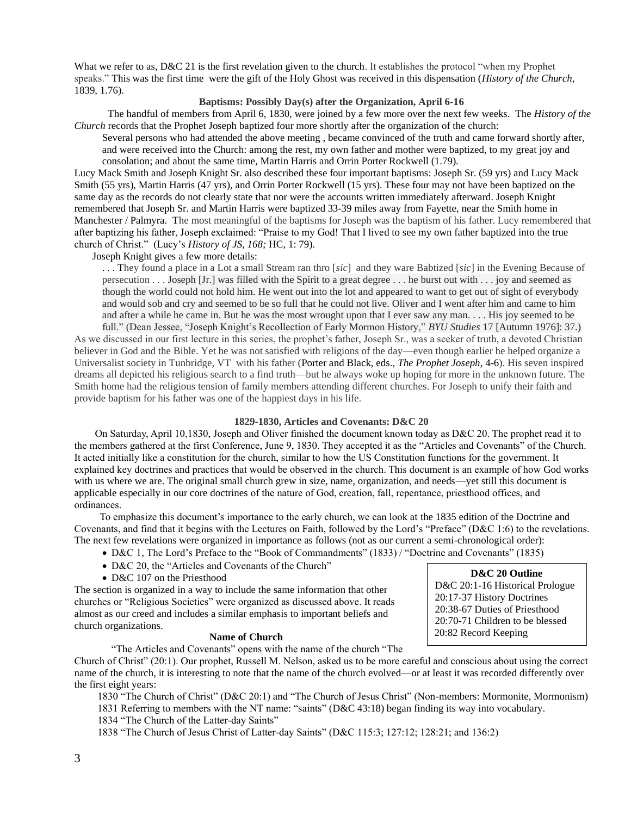What we refer to as, D&C 21 is the first revelation given to the church. It establishes the protocol "when my Prophet" speaks." This was the first time were the gift of the Holy Ghost was received in this dispensation (*History of the Church,*  1839, 1.76).

# **Baptisms: Possibly Day(s) after the Organization, April 6-16**

 The handful of members from April 6, 1830, were joined by a few more over the next few weeks. The *History of the Church* records that the Prophet Joseph baptized four more shortly after the organization of the church:

Several persons who had attended the above meeting , became convinced of the truth and came forward shortly after, and were received into the Church: among the rest, my own father and mother were baptized, to my great joy and consolation; and about the same time, Martin Harris and Orrin Porter Rockwell (1.79).

Lucy Mack Smith and Joseph Knight Sr. also described these four important baptisms: Joseph Sr. (59 yrs) and Lucy Mack Smith (55 yrs), Martin Harris (47 yrs), and Orrin Porter Rockwell (15 yrs). These four may not have been baptized on the same day as the records do not clearly state that nor were the accounts written immediately afterward. Joseph Knight remembered that Joseph Sr. and Martin Harris were baptized 33-39 miles away from Fayette, near the Smith home in Manchester / Palmyra. The most meaningful of the baptisms for Joseph was the baptism of his father. Lucy remembered that after baptizing his father, Joseph exclaimed: "Praise to my God! That I lived to see my own father baptized into the true church of Christ." (Lucy's *History of JS, 168;* HC, 1: 79).

Joseph Knight gives a few more details:

. . . They found a place in a Lot a small Stream ran thro [*sic*]and they ware Babtized [*sic*] in the Evening Because of persecution . . . Joseph [Jr.] was filled with the Spirit to a great degree . . . he burst out with . . . joy and seemed as though the world could not hold him. He went out into the lot and appeared to want to get out of sight of everybody and would sob and cry and seemed to be so full that he could not live. Oliver and I went after him and came to him and after a while he came in. But he was the most wrought upon that I ever saw any man. . . . His joy seemed to be

full." (Dean Jessee, "Joseph Knight's Recollection of Early Mormon History," *BYU Studies* 17 [Autumn 1976]: 37.) As we discussed in our first lecture in this series, the prophet's father, Joseph Sr., was a seeker of truth, a devoted Christian believer in God and the Bible. Yet he was not satisfied with religions of the day—even though earlier he helped organize a Universalist society in Tunbridge, VT with his father (Porter and Black, eds., *The Prophet Joseph*, 4-6). His seven inspired dreams all depicted his religious search to a find truth—but he always woke up hoping for more in the unknown future. The Smith home had the religious tension of family members attending different churches. For Joseph to unify their faith and provide baptism for his father was one of the happiest days in his life.

#### **1829-1830, Articles and Covenants: D&C 20**

 On Saturday, April 10,1830, Joseph and Oliver finished the document known today as D&C 20. The prophet read it to the members gathered at the first Conference, June 9, 1830. They accepted it as the "Articles and Covenants" of the Church. It acted initially like a constitution for the church, similar to how the US Constitution functions for the government. It explained key doctrines and practices that would be observed in the church. This document is an example of how God works with us where we are. The original small church grew in size, name, organization, and needs—yet still this document is applicable especially in our core doctrines of the nature of God, creation, fall, repentance, priesthood offices, and ordinances.

 To emphasize this document's importance to the early church, we can look at the 1835 edition of the Doctrine and Covenants, and find that it begins with the Lectures on Faith, followed by the Lord's "Preface" (D&C 1:6) to the revelations. The next few revelations were organized in importance as follows (not as our current a semi-chronological order):

- D&C 1, The Lord's Preface to the "Book of Commandments" (1833) / "Doctrine and Covenants" (1835)
- D&C 20, the "Articles and Covenants of the Church"
- D&C 107 on the Priesthood

The section is organized in a way to include the same information that other churches or "Religious Societies" were organized as discussed above. It reads almost as our creed and includes a similar emphasis to important beliefs and church organizations.

#### **Name of Church**

"The Articles and Covenants" opens with the name of the church "The Church of Christ" (20:1). Our prophet, Russell M. Nelson, asked us to be more careful and conscious about using the correct name of the church, it is interesting to note that the name of the church evolved—or at least it was recorded differently over the first eight years:

1830 "The Church of Christ" (D&C 20:1) and "The Church of Jesus Christ" (Non-members: Mormonite, Mormonism) 1831 Referring to members with the NT name: "saints" (D&C 43:18) began finding its way into vocabulary.

1834 "The Church of the Latter-day Saints"

1838 "The Church of Jesus Christ of Latter-day Saints" (D&C 115:3; 127:12; 128:21; and 136:2)

## **D&C 20 Outline**

D&C 20:1-16 Historical Prologue 20:17-37 History Doctrines 20:38-67 Duties of Priesthood 20:70-71 Children to be blessed 20:82 Record Keeping